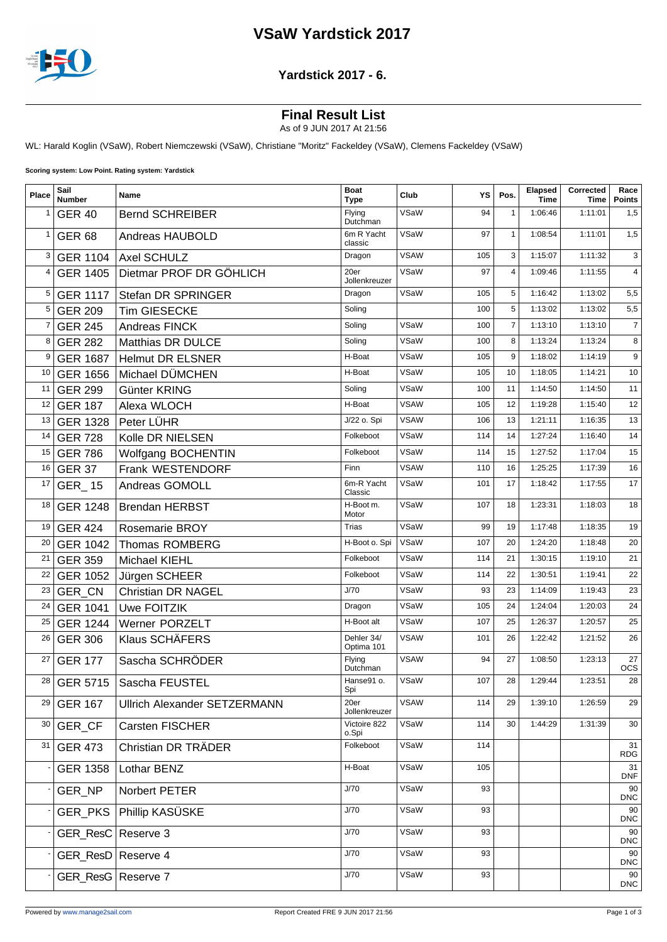## **VSaW Yardstick 2017**



### **Yardstick 2017 - 6.**

## **Final Result List**

As of 9 JUN 2017 At 21:56

WL: Harald Koglin (VSaW), Robert Niemczewski (VSaW), Christiane "Moritz" Fackeldey (VSaW), Clemens Fackeldey (VSaW)

**Scoring system: Low Point. Rating system: Yardstick**

| Place        | Sail<br><b>Number</b> | Name                                | <b>Boat</b><br><b>Type</b> | Club        | ΥS  | Pos.           | Elapsed<br>Time | Corrected<br>Time | Race<br><b>Points</b> |
|--------------|-----------------------|-------------------------------------|----------------------------|-------------|-----|----------------|-----------------|-------------------|-----------------------|
| 1            | <b>GER 40</b>         | <b>Bernd SCHREIBER</b>              | Flying<br>Dutchman         | VSaW        | 94  | $\mathbf{1}$   | 1:06:46         | 1:11:01           | 1,5                   |
| $\mathbf{1}$ | <b>GER 68</b>         | Andreas HAUBOLD                     | 6m R Yacht<br>classic      | VSaW        | 97  | $\mathbf{1}$   | 1:08:54         | 1:11:01           | 1,5                   |
| 3            |                       | GER 1104 Axel SCHULZ                | Dragon                     | <b>VSAW</b> | 105 | 3              | 1:15:07         | 1:11:32           | 3                     |
| 4            | <b>GER 1405</b>       | Dietmar PROF DR GÖHLICH             | 20er<br>Jollenkreuzer      | VSaW        | 97  | $\overline{4}$ | 1:09:46         | 1:11:55           | $\overline{4}$        |
| 5            | <b>GER 1117</b>       | Stefan DR SPRINGER                  | Dragon                     | VSaW        | 105 | 5              | 1:16:42         | 1:13:02           | 5,5                   |
| 5            | <b>GER 209</b>        | Tim GIESECKE                        | Soling                     |             | 100 | 5              | 1:13:02         | 1:13:02           | 5,5                   |
| 7            | <b>GER 245</b>        | Andreas FINCK                       | Soling                     | VSaW        | 100 | $\overline{7}$ | 1:13:10         | 1:13:10           | $\overline{7}$        |
| 8            | <b>GER 282</b>        | Matthias DR DULCE                   | Soling                     | VSaW        | 100 | 8              | 1:13:24         | 1:13:24           | 8                     |
| 9            | <b>GER 1687</b>       | <b>Helmut DR ELSNER</b>             | H-Boat                     | VSaW        | 105 | 9              | 1:18:02         | 1:14:19           | 9                     |
| 10           | <b>GER 1656</b>       | Michael DÜMCHEN                     | H-Boat                     | VSaW        | 105 | 10             | 1:18:05         | 1:14:21           | 10                    |
| 11           | <b>GER 299</b>        | Günter KRING                        | Soling                     | VSaW        | 100 | 11             | 1:14:50         | 1:14:50           | 11                    |
| 12           | <b>GER 187</b>        | Alexa WLOCH                         | H-Boat                     | <b>VSAW</b> | 105 | 12             | 1:19:28         | 1:15:40           | 12                    |
| 13           | <b>GER 1328</b>       | Peter LÜHR                          | J/22 o. Spi                | <b>VSAW</b> | 106 | 13             | 1:21:11         | 1:16:35           | 13                    |
| 14           | <b>GER 728</b>        | Kolle DR NIELSEN                    | Folkeboot                  | VSaW        | 114 | 14             | 1:27:24         | 1:16:40           | 14                    |
| 15           | <b>GER 786</b>        | Wolfgang BOCHENTIN                  | Folkeboot                  | VSaW        | 114 | 15             | 1:27:52         | 1:17:04           | 15                    |
| 16           | <b>GER 37</b>         | Frank WESTENDORF                    | Finn                       | <b>VSAW</b> | 110 | 16             | 1:25:25         | 1:17:39           | 16                    |
| 17           | <b>GER_15</b>         | Andreas GOMOLL                      | 6m-R Yacht<br>Classic      | VSaW        | 101 | 17             | 1:18:42         | 1:17:55           | 17                    |
| 18           | <b>GER 1248</b>       | <b>Brendan HERBST</b>               | H-Boot m.<br>Motor         | VSaW        | 107 | 18             | 1:23:31         | 1:18:03           | 18                    |
| 19           | <b>GER 424</b>        | Rosemarie BROY                      | Trias                      | VSaW        | 99  | 19             | 1:17:48         | 1:18:35           | 19                    |
| 20           | <b>GER 1042</b>       | <b>Thomas ROMBERG</b>               | H-Boot o. Spi              | VSaW        | 107 | 20             | 1:24:20         | 1:18:48           | 20                    |
| 21           | <b>GER 359</b>        | Michael KIEHL                       | Folkeboot                  | VSaW        | 114 | 21             | 1:30:15         | 1:19:10           | 21                    |
| 22           | <b>GER 1052</b>       | Jürgen SCHEER                       | Folkeboot                  | VSaW        | 114 | 22             | 1:30:51         | 1:19:41           | 22                    |
| 23           | GER_CN                | <b>Christian DR NAGEL</b>           | J/70                       | VSaW        | 93  | 23             | 1:14:09         | 1:19:43           | 23                    |
| 24           | <b>GER 1041</b>       | Uwe FOITZIK                         | Dragon                     | VSaW        | 105 | 24             | 1:24:04         | 1:20:03           | 24                    |
| 25           | <b>GER 1244</b>       | <b>Werner PORZELT</b>               | H-Boot alt                 | VSaW        | 107 | 25             | 1:26:37         | 1:20:57           | 25                    |
| 26           | <b>GER 306</b>        | Klaus SCHÄFERS                      | Dehler 34/<br>Optima 101   | <b>VSAW</b> | 101 | 26             | 1:22:42         | 1:21:52           | 26                    |
| 27           | <b>GER 177</b>        | Sascha SCHRÖDER                     | Flying<br>Dutchman         | <b>VSAW</b> | 94  | 27             | 1:08:50         | 1:23:13           | 27<br><b>OCS</b>      |
| 28           |                       | GER 5715   Sascha FEUSTEL           | Hanse91 o.<br>Spi          | VSaW        | 107 | 28             | 1:29:44         | 1:23:51           | 28                    |
| 29           | <b>GER 167</b>        | <b>Ullrich Alexander SETZERMANN</b> | 20er<br>Jollenkreuzer      | <b>VSAW</b> | 114 | 29             | 1:39:10         | 1:26:59           | 29                    |
| 30           | GER_CF                | Carsten FISCHER                     | Victoire 822<br>o.Spi      | VSaW        | 114 | 30             | 1:44:29         | 1:31:39           | 30                    |
| 31           | <b>GER 473</b>        | Christian DR TRÄDER                 | Folkeboot                  | VSaW        | 114 |                |                 |                   | 31<br><b>RDG</b>      |
|              | <b>GER 1358</b>       | Lothar BENZ                         | H-Boat                     | VSaW        | 105 |                |                 |                   | 31<br><b>DNF</b>      |
|              | GER_NP                | Norbert PETER                       | J/70                       | VSaW        | 93  |                |                 |                   | 90<br><b>DNC</b>      |
|              |                       | GER PKS   Phillip KASÜSKE           | J/70                       | VSaW        | 93  |                |                 |                   | 90<br><b>DNC</b>      |
|              | GER_ResC   Reserve 3  |                                     | J/70                       | VSaW        | 93  |                |                 |                   | 90<br><b>DNC</b>      |
|              | GER_ResD   Reserve 4  |                                     | J/70                       | VSaW        | 93  |                |                 |                   | 90<br><b>DNC</b>      |
|              | GER_ResG   Reserve 7  |                                     | J/70                       | VSaW        | 93  |                |                 |                   | 90<br><b>DNC</b>      |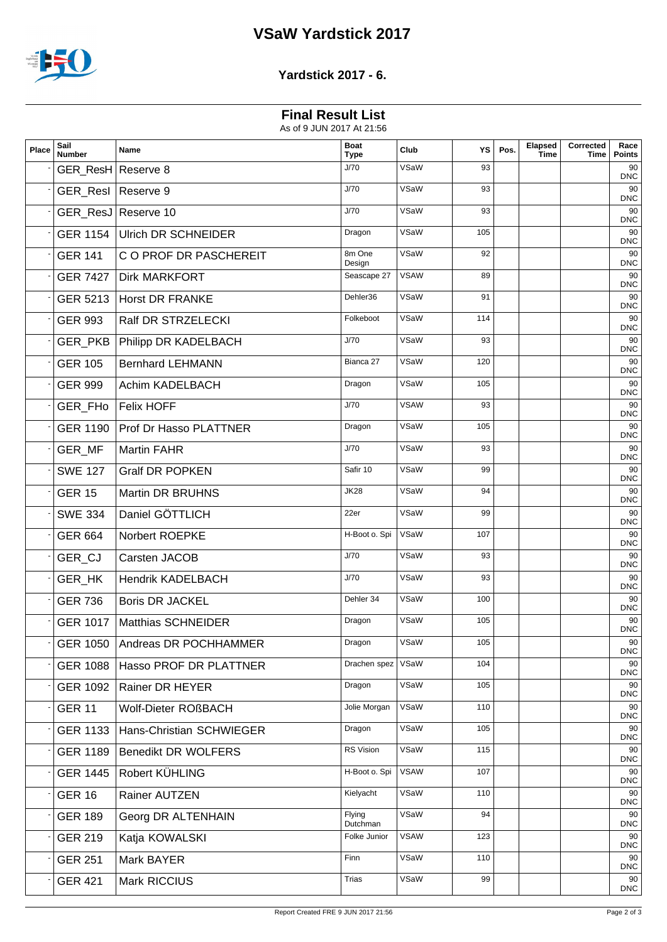## **VSaW Yardstick 2017**



### **Yardstick 2017 - 6.**

# **Final Result List**

| Place | Sail<br><b>Number</b> | Name                           | <b>Boat</b><br><b>Type</b> | Club        | YS  | Pos. | Elapsed<br>Time | Corrected<br>Time | Race<br><b>Points</b> |
|-------|-----------------------|--------------------------------|----------------------------|-------------|-----|------|-----------------|-------------------|-----------------------|
|       | GER_ResH Reserve 8    |                                | J/70                       | VSaW        | 93  |      |                 |                   | 90<br><b>DNC</b>      |
|       | GER_ResI   Reserve 9  |                                | J/70                       | VSaW        | 93  |      |                 |                   | 90<br><b>DNC</b>      |
|       |                       | GER_ResJ Reserve 10            | J/70                       | VSaW        | 93  |      |                 |                   | 90<br><b>DNC</b>      |
|       | <b>GER 1154</b>       | <b>Ulrich DR SCHNEIDER</b>     | Dragon                     | VSaW        | 105 |      |                 |                   | 90<br><b>DNC</b>      |
|       | <b>GER 141</b>        | C O PROF DR PASCHEREIT         | 8m One<br>Design           | VSaW        | 92  |      |                 |                   | 90<br><b>DNC</b>      |
|       | <b>GER 7427</b>       | <b>Dirk MARKFORT</b>           | Seascape 27                | <b>VSAW</b> | 89  |      |                 |                   | 90<br><b>DNC</b>      |
|       | GER 5213              | Horst DR FRANKE                | Dehler36                   | VSaW        | 91  |      |                 |                   | 90<br><b>DNC</b>      |
|       | <b>GER 993</b>        | Ralf DR STRZELECKI             | Folkeboot                  | VSaW        | 114 |      |                 |                   | 90<br><b>DNC</b>      |
|       |                       | GER_PKB   Philipp DR KADELBACH | J/70                       | VSaW        | 93  |      |                 |                   | 90<br><b>DNC</b>      |
|       | <b>GER 105</b>        | <b>Bernhard LEHMANN</b>        | Bianca 27                  | VSaW        | 120 |      |                 |                   | 90<br><b>DNC</b>      |
|       | <b>GER 999</b>        | Achim KADELBACH                | Dragon                     | VSaW        | 105 |      |                 |                   | 90<br><b>DNC</b>      |
|       | GER_FH <sub>o</sub>   | <b>Felix HOFF</b>              | J/70                       | <b>VSAW</b> | 93  |      |                 |                   | 90<br><b>DNC</b>      |
|       | <b>GER 1190</b>       | <b>Prof Dr Hasso PLATTNER</b>  | Dragon                     | VSaW        | 105 |      |                 |                   | 90<br><b>DNC</b>      |
|       | GER_MF                | <b>Martin FAHR</b>             | J/70                       | VSaW        | 93  |      |                 |                   | 90<br><b>DNC</b>      |
|       | <b>SWE 127</b>        | <b>Gralf DR POPKEN</b>         | Safir 10                   | VSaW        | 99  |      |                 |                   | 90<br><b>DNC</b>      |
|       | <b>GER 15</b>         | <b>Martin DR BRUHNS</b>        | <b>JK28</b>                | VSaW        | 94  |      |                 |                   | 90<br><b>DNC</b>      |
|       | <b>SWE 334</b>        | Daniel GÖTTLICH                | 22er                       | VSaW        | 99  |      |                 |                   | 90<br><b>DNC</b>      |
|       | <b>GER 664</b>        | Norbert ROEPKE                 | H-Boot o. Spi              | VSaW        | 107 |      |                 |                   | 90<br><b>DNC</b>      |
|       | GER_CJ                | Carsten JACOB                  | J/70                       | VSaW        | 93  |      |                 |                   | 90<br><b>DNC</b>      |
|       | GER_HK                | <b>Hendrik KADELBACH</b>       | J/70                       | VSaW        | 93  |      |                 |                   | 90<br><b>DNC</b>      |
|       | <b>GER 736</b>        | <b>Boris DR JACKEL</b>         | Dehler 34                  | VSaW        | 100 |      |                 |                   | 90<br><b>DNC</b>      |
|       | <b>GER 1017</b>       | Matthias SCHNEIDER             | Dragon                     | VSaW        | 105 |      |                 |                   | 90<br><b>DNC</b>      |
|       | <b>GER 1050</b>       | Andreas DR POCHHAMMER          | Dragon                     | VSaW        | 105 |      |                 |                   | 90<br><b>DNC</b>      |
|       | <b>GER 1088</b>       | Hasso PROF DR PLATTNER         | Drachen spez               | VSaW        | 104 |      |                 |                   | 90<br><b>DNC</b>      |
|       | GER 1092              | <b>Rainer DR HEYER</b>         | Dragon                     | VSaW        | 105 |      |                 |                   | 90<br><b>DNC</b>      |
|       | <b>GER 11</b>         | Wolf-Dieter ROßBACH            | Jolie Morgan               | VSaW        | 110 |      |                 |                   | 90<br><b>DNC</b>      |
|       | <b>GER 1133</b>       | Hans-Christian SCHWIEGER       | Dragon                     | VSaW        | 105 |      |                 |                   | 90<br><b>DNC</b>      |
|       | <b>GER 1189</b>       | <b>Benedikt DR WOLFERS</b>     | RS Vision                  | VSaW        | 115 |      |                 |                   | 90<br><b>DNC</b>      |
|       | <b>GER 1445</b>       | Robert KÜHLING                 | H-Boot o. Spi              | <b>VSAW</b> | 107 |      |                 |                   | 90<br><b>DNC</b>      |
|       | <b>GER 16</b>         | Rainer AUTZEN                  | Kielyacht                  | VSaW        | 110 |      |                 |                   | 90<br><b>DNC</b>      |
|       | <b>GER 189</b>        | Georg DR ALTENHAIN             | Flying<br>Dutchman         | VSaW        | 94  |      |                 |                   | 90<br><b>DNC</b>      |
|       | <b>GER 219</b>        | Katja KOWALSKI                 | Folke Junior               | <b>VSAW</b> | 123 |      |                 |                   | 90<br><b>DNC</b>      |
|       | <b>GER 251</b>        | Mark BAYER                     | Finn                       | VSaW        | 110 |      |                 |                   | 90<br><b>DNC</b>      |
|       | <b>GER 421</b>        | Mark RICCIUS                   | <b>Trias</b>               | VSaW        | 99  |      |                 |                   | 90<br><b>DNC</b>      |
|       |                       |                                |                            |             |     |      |                 |                   |                       |